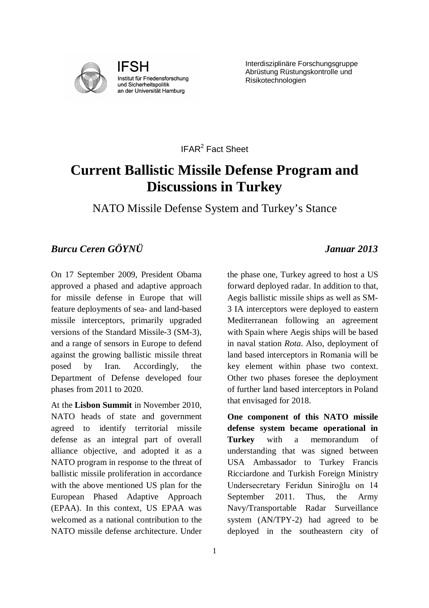

**IFSH** Institut für Friedensforschung und Sicherheitspolitik an der Universität Hamburg

Interdisziplinäre Forschungsgruppe Abrüstung Rüstungskontrolle und Risikotechnologien

IFAR<sup>2</sup> Fact Sheet

## **Current Ballistic Missile Defense Program and Discussions in Turkey**

NATO Missile Defense System and Turkey's Stance

## *Burcu Ceren GÖYNÜ Januar 2013*

On 17 September 2009, President Obama approved a phased and adaptive approach for missile defense in Europe that will feature deployments of sea- and land-based missile interceptors, primarily upgraded versions of the Standard Missile-3 (SM-3), and a range of sensors in Europe to defend against the growing ballistic missile threat posed by Iran. Accordingly, the Department of Defense developed four phases from 2011 to 2020.

At the **Lisbon Summit** in November 2010, NATO heads of state and government agreed to identify territorial missile defense as an integral part of overall alliance objective, and adopted it as a NATO program in response to the threat of ballistic missile proliferation in accordance with the above mentioned US plan for the European Phased Adaptive Approach (EPAA). In this context, US EPAA was welcomed as a national contribution to the NATO missile defense architecture. Under

the phase one, Turkey agreed to host a US forward deployed radar. In addition to that, Aegis ballistic missile ships as well as SM-3 IA interceptors were deployed to eastern Mediterranean following an agreement with Spain where Aegis ships will be based in naval station *Rota*. Also, deployment of land based interceptors in Romania will be key element within phase two context. Other two phases foresee the deployment of further land based interceptors in Poland that envisaged for 2018.

**One component of this NATO missile defense system became operational in Turkey** with a memorandum of understanding that was signed between USA Ambassador to Turkey Francis Ricciardone and Turkish Foreign Ministry Undersecretary Feridun Siniroğlu on 14 September 2011. Thus, the Army Navy/Transportable Radar Surveillance system (AN/TPY-2) had agreed to be deployed in the southeastern city of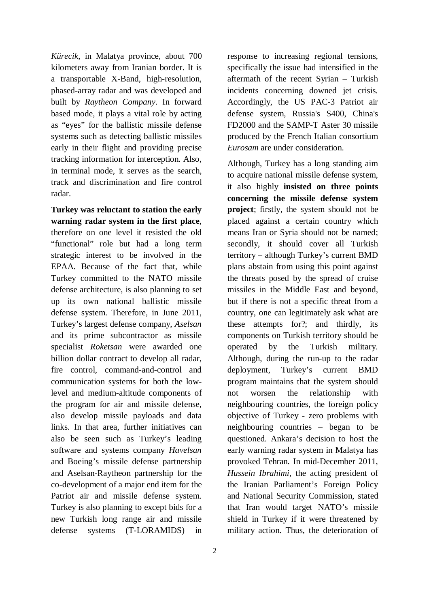*Kürecik*, in Malatya province, about 700 kilometers away from Iranian border. It is a transportable X-Band, high-resolution, phased-array radar and was developed and built by *Raytheon Company*. In forward based mode, it plays a vital role by acting as "eyes" for the ballistic missile defense systems such as detecting ballistic missiles early in their flight and providing precise tracking information for interception. Also, in terminal mode, it serves as the search, track and discrimination and fire control radar.

**Turkey was reluctant to station the early warning radar system in the first place**, therefore on one level it resisted the old "functional" role but had a long term strategic interest to be involved in the EPAA. Because of the fact that, while Turkey committed to the NATO missile defense architecture, is also planning to set up its own national ballistic missile defense system. Therefore, in June 2011, Turkey's largest defense company, *Aselsan*  and its prime subcontractor as missile specialist *Roketsan* were awarded one billion dollar contract to develop all radar, fire control, command-and-control and communication systems for both the lowlevel and medium-altitude components of the program for air and missile defense, also develop missile payloads and data links. In that area, further initiatives can also be seen such as Turkey's leading software and systems company *Havelsan* and Boeing's missile defense partnership and Aselsan-Raytheon partnership for the co-development of a major end item for the Patriot air and missile defense system. Turkey is also planning to except bids for a new Turkish long range air and missile defense systems (T-LORAMIDS) in

response to increasing regional tensions, specifically the issue had intensified in the aftermath of the recent Syrian – Turkish incidents concerning downed jet crisis. Accordingly, the US PAC-3 Patriot air defense system, Russia's S400, China's FD2000 and the SAMP-T Aster 30 missile produced by the French Italian consortium *Eurosam* are under consideration.

Although, Turkey has a long standing aim to acquire national missile defense system, it also highly **insisted on three points concerning the missile defense system project**; firstly, the system should not be placed against a certain country which means Iran or Syria should not be named; secondly, it should cover all Turkish territory – although Turkey's current BMD plans abstain from using this point against the threats posed by the spread of cruise missiles in the Middle East and beyond, but if there is not a specific threat from a country, one can legitimately ask what are these attempts for?; and thirdly, its components on Turkish territory should be operated by the Turkish military. Although, during the run-up to the radar deployment, Turkey's current BMD program maintains that the system should not worsen the relationship with neighbouring countries, the foreign policy objective of Turkey - zero problems with neighbouring countries – began to be questioned. Ankara's decision to host the early warning radar system in Malatya has provoked Tehran. In mid-December 2011, *Hussein Ibrahimi*, the acting president of the Iranian Parliament's Foreign Policy and National Security Commission, stated that Iran would target NATO's missile shield in Turkey if it were threatened by military action. Thus, the deterioration of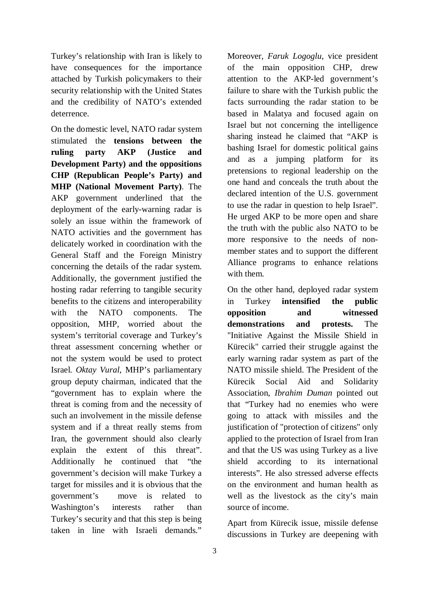Turkey's relationship with Iran is likely to have consequences for the importance attached by Turkish policymakers to their security relationship with the United States and the credibility of NATO's extended deterrence.

On the domestic level, NATO radar system stimulated the **tensions between the ruling party AKP (Justice and Development Party) and the oppositions CHP (Republican People's Party) and MHP (National Movement Party)**. The AKP government underlined that the deployment of the early-warning radar is solely an issue within the framework of NATO activities and the government has delicately worked in coordination with the General Staff and the Foreign Ministry concerning the details of the radar system. Additionally, the government justified the hosting radar referring to tangible security benefits to the citizens and interoperability with the NATO components. The opposition, MHP, worried about the system's territorial coverage and Turkey's threat assessment concerning whether or not the system would be used to protect Israel. *Oktay Vural*, MHP's parliamentary group deputy chairman, indicated that the "government has to explain where the threat is coming from and the necessity of such an involvement in the missile defense system and if a threat really stems from Iran, the government should also clearly explain the extent of this threat". Additionally he continued that "the government's decision will make Turkey a target for missiles and it is obvious that the government's move is related to Washington's interests rather than Turkey's security and that this step is being taken in line with Israeli demands."

Moreover, *Faruk Logoglu*, vice president of the main opposition CHP, drew attention to the AKP-led government's failure to share with the Turkish public the facts surrounding the radar station to be based in Malatya and focused again on Israel but not concerning the intelligence sharing instead he claimed that "AKP is bashing Israel for domestic political gains and as a jumping platform for its pretensions to regional leadership on the one hand and conceals the truth about the declared intention of the U.S. government to use the radar in question to help Israel". He urged AKP to be more open and share the truth with the public also NATO to be more responsive to the needs of nonmember states and to support the different Alliance programs to enhance relations with them.

On the other hand, deployed radar system in Turkey **intensified the public opposition and witnessed demonstrations and protests.** The "Initiative Against the Missile Shield in Kürecik" carried their struggle against the early warning radar system as part of the NATO missile shield. The President of the Kürecik Social Aid and Solidarity Association, *Ibrahim Duman* pointed out that "Turkey had no enemies who were going to attack with missiles and the justification of "protection of citizens" only applied to the protection of Israel from Iran and that the US was using Turkey as a live shield according to its international interests". He also stressed adverse effects on the environment and human health as well as the livestock as the city's main source of income.

Apart from Kürecik issue, missile defense discussions in Turkey are deepening with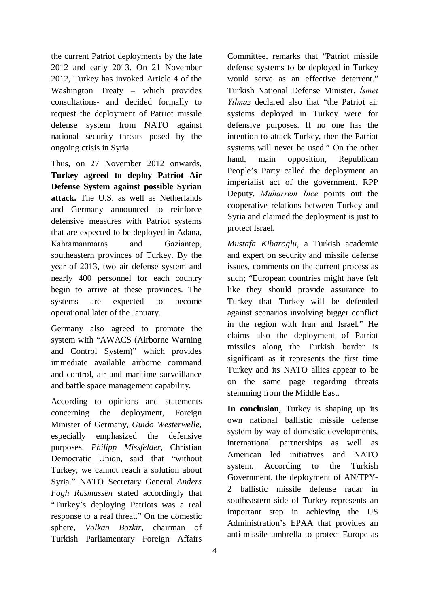the current Patriot deployments by the late 2012 and early 2013. On 21 November 2012, Turkey has invoked Article 4 of the Washington Treaty – which provides consultations- and decided formally to request the deployment of Patriot missile defense system from NATO against national security threats posed by the ongoing crisis in Syria.

Thus, on 27 November 2012 onwards, **Turkey agreed to deploy Patriot Air Defense System against possible Syrian attack.** The U.S. as well as Netherlands and Germany announced to reinforce defensive measures with Patriot systems that are expected to be deployed in Adana, Kahramanmaraş and Gaziantep, southeastern provinces of Turkey. By the year of 2013, two air defense system and nearly 400 personnel for each country begin to arrive at these provinces. The systems are expected to become operational later of the January.

Germany also agreed to promote the system with "AWACS (Airborne Warning and Control System)" which provides immediate available airborne command and control, air and maritime surveillance and battle space management capability.

According to opinions and statements concerning the deployment, Foreign Minister of Germany, *Guido Westerwelle*, especially emphasized the defensive purposes. *Philipp Missfelder*, Christian Democratic Union, said that "without Turkey, we cannot reach a solution about Syria." NATO Secretary General *Anders Fogh Rasmussen* stated accordingly that "Turkey's deploying Patriots was a real response to a real threat." On the domestic sphere, *Volkan Bozkir*, chairman of Turkish Parliamentary Foreign Affairs

Committee, remarks that "Patriot missile defense systems to be deployed in Turkey would serve as an effective deterrent." Turkish National Defense Minister, *İsmet Yılmaz* declared also that "the Patriot air systems deployed in Turkey were for defensive purposes. If no one has the intention to attack Turkey, then the Patriot systems will never be used." On the other hand, main opposition, Republican People's Party called the deployment an imperialist act of the government. RPP Deputy, *Muharrem İnce* points out the cooperative relations between Turkey and Syria and claimed the deployment is just to protect Israel.

*Mustafa Kibaroglu*, a Turkish academic and expert on security and missile defense issues, comments on the current process as such; "European countries might have felt like they should provide assurance to Turkey that Turkey will be defended against scenarios involving bigger conflict in the region with Iran and Israel." He claims also the deployment of Patriot missiles along the Turkish border is significant as it represents the first time Turkey and its NATO allies appear to be on the same page regarding threats stemming from the Middle East.

**In conclusion**, Turkey is shaping up its own national ballistic missile defense system by way of domestic developments, international partnerships as well as American led initiatives and NATO system. According to the Turkish Government, the deployment of AN/TPY-2 ballistic missile defense radar in southeastern side of Turkey represents an important step in achieving the US Administration's EPAA that provides an anti-missile umbrella to protect Europe as